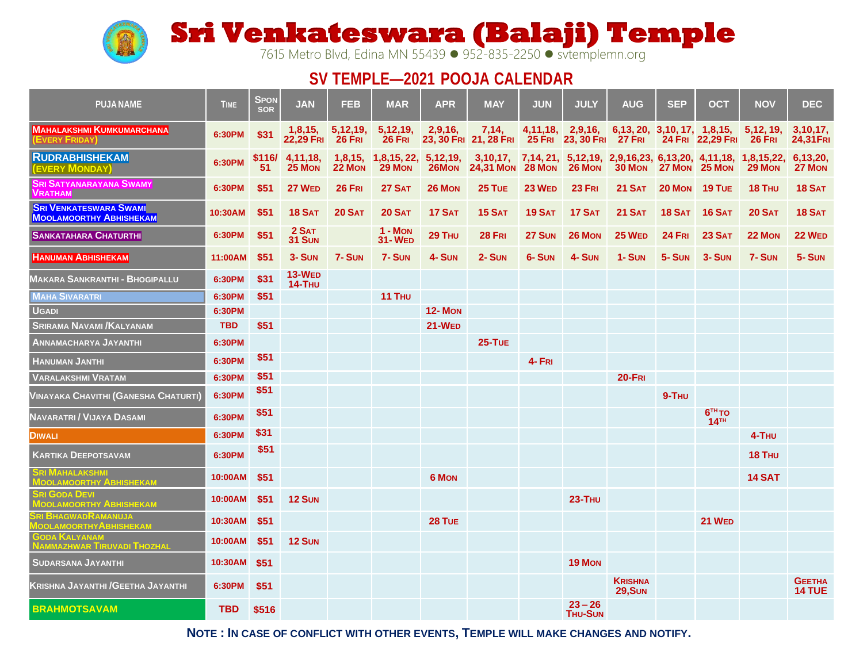

**Sri Venkateswara (Balaji) Temple** 

7615 Metro Blvd, Edina MN 55439 ⚫ 952-835-2250 ⚫ svtemplemn.org

## **SV TEMPLE—2021 POOJA CALENDAR**

| <b>PUJA NAME</b>                                                | <b>TIME</b>  | <b>SPON</b><br><b>SOR</b> | <b>JAN</b>                  | <b>FEB</b>           | <b>MAR</b>                  | <b>APR</b>                    | <b>MAY</b>                                              | <b>JUN</b>    | <b>JULY</b>                 | <b>AUG</b>                                                                    | <b>SEP</b>    | ОСТ                            | <b>NOV</b>           | <b>DEC</b>                     |
|-----------------------------------------------------------------|--------------|---------------------------|-----------------------------|----------------------|-----------------------------|-------------------------------|---------------------------------------------------------|---------------|-----------------------------|-------------------------------------------------------------------------------|---------------|--------------------------------|----------------------|--------------------------------|
| <b>MAHALAKSHMI KUMKUMARCHANA</b><br>EVERY FRIDAY                | 6:30PM       | \$31                      | 1,8,15,<br><b>22,29 FRI</b> | 5,12,19,<br>$26$ FRI | 5,12,19,<br>$26$ FRI        | 2,9,16,                       | 7,14,<br>23, 30 FRI 21, 28 FRI 25 FRI 23, 30 FRI 27 FRI |               | 4,11,18, 2,9,16,            | 6, 13, 20, 3, 10, 17, 1, 8, 15,                                               |               | 24 FRI 22,29 FRI               | 5,12,19,<br>$26$ FRI | 3,10,17<br>24,31 FRI           |
| <b>RUDRABHISHEKAM</b><br><b>EVERY MONDAY)</b>                   | 6:30PM       | \$116/<br>51              | 4,11,18,<br>25 MON          | 1,8,15,<br>22 Mon    | 1,8,15, 22,<br>29 MON       | 5,12,19,<br>26M <sub>ON</sub> | 24,31 Mon 28 Mon                                        |               | 26 MON                      | 3,10,17, 7,14, 21, 5,12,19, 2,9,16,23, 6,13,20, 4,11,18, 1,8,15,22,<br>30 MON | 27 MON        | 25 Mon                         | 29 MON               | 6.13.20.<br>27 MON             |
| Sri Satyanarayana Swamy<br><b>VRATHAM</b>                       | 6:30PM       | \$51                      | 27 WED                      | <b>26 FRI</b>        | 27 SAT                      | 26 MON                        | 25 TUE                                                  | <b>23 WED</b> | 23 FRI                      | <b>21 SAT</b>                                                                 | 20 MON        | 19 TUE                         | 18 THU               | <b>18 SAT</b>                  |
| <b>SRI VENKATESWARA SWAMI</b><br><b>MOOLAMOORTHY ABHISHEKAM</b> | 10:30AM      | \$51                      | <b>18 SAT</b>               | <b>20 SAT</b>        | <b>20 SAT</b>               | <b>17 SAT</b>                 | 15 SAT                                                  | <b>19 SAT</b> | <b>17 SAT</b>               | <b>21 SAT</b>                                                                 | <b>18 SAT</b> | <b>16 SAT</b>                  | <b>20 SAT</b>        | <b>18 SAT</b>                  |
| <b>SANKATAHARA CHATURTHI</b>                                    | 6:30PM       | \$51                      | 2 SAT<br>31 SUN             |                      | $1 - M$ ON<br><b>31-WED</b> | 29 THU                        | <b>28 FRI</b>                                           | 27 SUN        | 26 MON                      | <b>25 WED</b>                                                                 | <b>24 FRI</b> | 23 SAT                         | 22 MON               | <b>22 WED</b>                  |
| <b>HANUMAN ABHISHEKAM</b>                                       | 11:00AM      | \$51                      | $3 -$ SUN                   | 7-SUN                | 7-SUN                       | 4- SUN                        | $2 - \text{Sum}$                                        | 6-SUN         | 4- SUN                      | $1 -$ SUN                                                                     | 5-SUN         | $3 -$ SUN                      | 7-SUN                | $5 -$ SUN                      |
| <b>MAKARA SANKRANTHI - BHOGIPALLU</b>                           | 6:30PM       | \$31                      | <b>13-WED</b><br>14-THU     |                      |                             |                               |                                                         |               |                             |                                                                               |               |                                |                      |                                |
| <b>MAHA SIVARATRI</b>                                           | 6:30PM       | \$51                      |                             |                      | 11 THU                      |                               |                                                         |               |                             |                                                                               |               |                                |                      |                                |
| <b>UGADI</b>                                                    | 6:30PM       |                           |                             |                      |                             | <b>12-MON</b>                 |                                                         |               |                             |                                                                               |               |                                |                      |                                |
| <b>SRIRAMA NAVAMI/KALYANAM</b>                                  | <b>TBD</b>   | \$51                      |                             |                      |                             | 21-WED                        |                                                         |               |                             |                                                                               |               |                                |                      |                                |
| <b>ANNAMACHARYA JAYANTHI</b>                                    | 6:30PM       |                           |                             |                      |                             |                               | $25-TUE$                                                |               |                             |                                                                               |               |                                |                      |                                |
| <b>HANUMAN JANTHI</b>                                           | 6:30PM       | \$51                      |                             |                      |                             |                               |                                                         | $4 - FRI$     |                             |                                                                               |               |                                |                      |                                |
| <b>VARALAKSHMI VRATAM</b>                                       | 6:30PM       | \$51                      |                             |                      |                             |                               |                                                         |               |                             | $20-FRI$                                                                      |               |                                |                      |                                |
| VINAYAKA CHAVITHI (GANESHA CHATURTI)                            | 6:30PM       | \$51                      |                             |                      |                             |                               |                                                         |               |                             |                                                                               | $9-THU$       |                                |                      |                                |
| Navaratri / Vijaya Dasami                                       | 6:30PM       | \$51                      |                             |                      |                             |                               |                                                         |               |                             |                                                                               |               | $6TH$ TO<br>$14$ <sup>TH</sup> |                      |                                |
| <b>DIWALI</b>                                                   | 6:30PM       | \$31                      |                             |                      |                             |                               |                                                         |               |                             |                                                                               |               |                                | 4-THU                |                                |
| <b>KARTIKA DEEPOTSAVAM</b>                                      | 6:30PM       | \$51                      |                             |                      |                             |                               |                                                         |               |                             |                                                                               |               |                                | 18 THU               |                                |
| I MAHALAKSHMI<br><b>IOOLAMOORTHY ABHISHEKAM</b>                 | 10:00AM      | \$51                      |                             |                      |                             | <b>6 MON</b>                  |                                                         |               |                             |                                                                               |               |                                | <b>14 SAT</b>        |                                |
| I GODA DEVI<br><b>IOOLAMOORTHY ABHISHEKAM</b>                   | 10:00AM      | \$51                      | 12 SUN                      |                      |                             |                               |                                                         |               | <b>23-THU</b>               |                                                                               |               |                                |                      |                                |
| <b>BHAGWADRAMANUJA</b><br><b>OOLAMOORTHYABHISHEKAM</b>          | 10:30AM      | <b>S51</b>                |                             |                      |                             | 28 TUE                        |                                                         |               |                             |                                                                               |               | <b>21 WED</b>                  |                      |                                |
| <b>ODA KALYANAM</b><br>NAMMAZHWAR TIRUVADI THOZHAL              | 10:00AM      | \$51                      | 12 SUN                      |                      |                             |                               |                                                         |               |                             |                                                                               |               |                                |                      |                                |
| <b>SUDARSANA JAYANTHI</b>                                       | 10:30AM \$51 |                           |                             |                      |                             |                               |                                                         |               | 19 MON                      |                                                                               |               |                                |                      |                                |
| Krishna Jayanthi /Geetha Jayanthi                               | 6:30PM       | \$51                      |                             |                      |                             |                               |                                                         |               |                             | <b>KRISHNA</b><br><b>29, SUN</b>                                              |               |                                |                      | <b>GEETHA</b><br><b>14 TUE</b> |
| <b>BRAHMOTSAVAM</b>                                             | TBD          | \$516                     |                             |                      |                             |                               |                                                         |               | $23 - 26$<br><b>THU-SUN</b> |                                                                               |               |                                |                      |                                |

**NOTE : IN CASE OF CONFLICT WITH OTHER EVENTS, TEMPLE WILL MAKE CHANGES AND NOTIFY.**